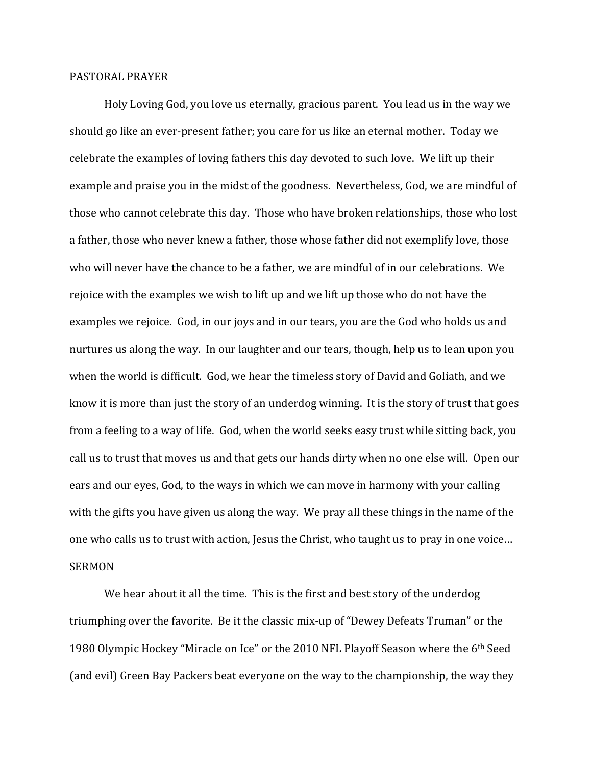## PASTORAL PRAYER

Holy Loving God, you love us eternally, gracious parent. You lead us in the way we should go like an ever-present father; you care for us like an eternal mother. Today we celebrate the examples of loving fathers this day devoted to such love. We lift up their example and praise you in the midst of the goodness. Nevertheless, God, we are mindful of those who cannot celebrate this day. Those who have broken relationships, those who lost a father, those who never knew a father, those whose father did not exemplify love, those who will never have the chance to be a father, we are mindful of in our celebrations. We rejoice with the examples we wish to lift up and we lift up those who do not have the examples we rejoice. God, in our joys and in our tears, you are the God who holds us and nurtures us along the way. In our laughter and our tears, though, help us to lean upon you when the world is difficult. God, we hear the timeless story of David and Goliath, and we know it is more than just the story of an underdog winning. It is the story of trust that goes from a feeling to a way of life. God, when the world seeks easy trust while sitting back, you call us to trust that moves us and that gets our hands dirty when no one else will. Open our ears and our eyes, God, to the ways in which we can move in harmony with your calling with the gifts you have given us along the way. We pray all these things in the name of the one who calls us to trust with action, Jesus the Christ, who taught us to pray in one voice… SERMON

We hear about it all the time. This is the first and best story of the underdog triumphing over the favorite. Be it the classic mix-up of "Dewey Defeats Truman" or the 1980 Olympic Hockey "Miracle on Ice" or the 2010 NFL Playoff Season where the 6th Seed (and evil) Green Bay Packers beat everyone on the way to the championship, the way they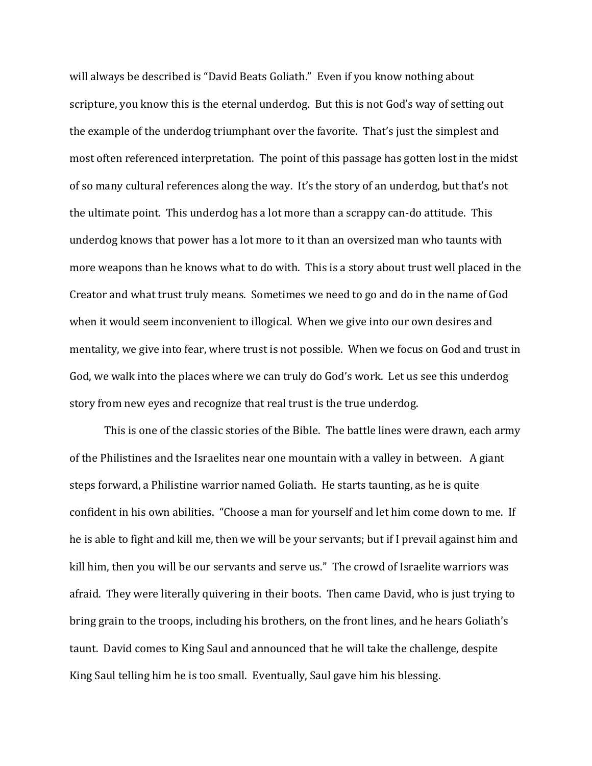will always be described is "David Beats Goliath." Even if you know nothing about scripture, you know this is the eternal underdog. But this is not God's way of setting out the example of the underdog triumphant over the favorite. That's just the simplest and most often referenced interpretation. The point of this passage has gotten lost in the midst of so many cultural references along the way. It's the story of an underdog, but that's not the ultimate point. This underdog has a lot more than a scrappy can-do attitude. This underdog knows that power has a lot more to it than an oversized man who taunts with more weapons than he knows what to do with. This is a story about trust well placed in the Creator and what trust truly means. Sometimes we need to go and do in the name of God when it would seem inconvenient to illogical. When we give into our own desires and mentality, we give into fear, where trust is not possible. When we focus on God and trust in God, we walk into the places where we can truly do God's work. Let us see this underdog story from new eyes and recognize that real trust is the true underdog.

This is one of the classic stories of the Bible. The battle lines were drawn, each army of the Philistines and the Israelites near one mountain with a valley in between. A giant steps forward, a Philistine warrior named Goliath. He starts taunting, as he is quite confident in his own abilities. "Choose a man for yourself and let him come down to me. If he is able to fight and kill me, then we will be your servants; but if I prevail against him and kill him, then you will be our servants and serve us." The crowd of Israelite warriors was afraid. They were literally quivering in their boots. Then came David, who is just trying to bring grain to the troops, including his brothers, on the front lines, and he hears Goliath's taunt. David comes to King Saul and announced that he will take the challenge, despite King Saul telling him he is too small. Eventually, Saul gave him his blessing.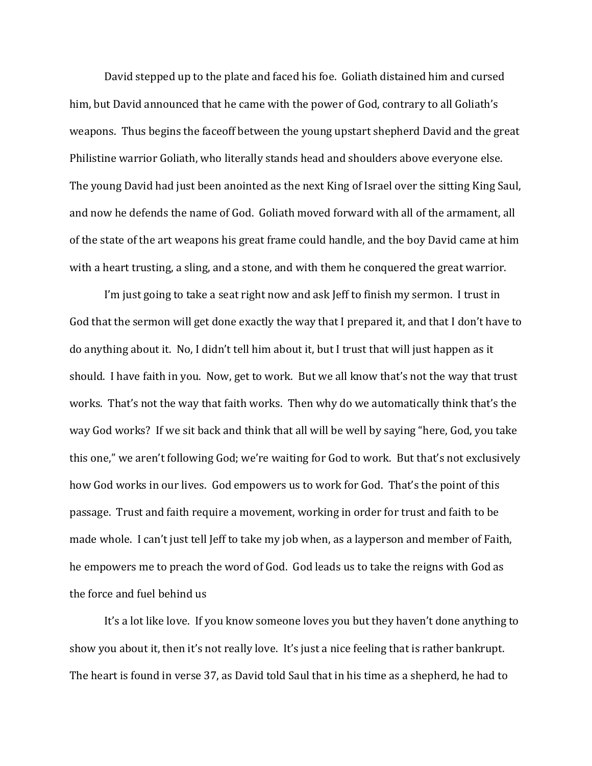David stepped up to the plate and faced his foe. Goliath distained him and cursed him, but David announced that he came with the power of God, contrary to all Goliath's weapons. Thus begins the faceoff between the young upstart shepherd David and the great Philistine warrior Goliath, who literally stands head and shoulders above everyone else. The young David had just been anointed as the next King of Israel over the sitting King Saul, and now he defends the name of God. Goliath moved forward with all of the armament, all of the state of the art weapons his great frame could handle, and the boy David came at him with a heart trusting, a sling, and a stone, and with them he conquered the great warrior.

I'm just going to take a seat right now and ask Jeff to finish my sermon. I trust in God that the sermon will get done exactly the way that I prepared it, and that I don't have to do anything about it. No, I didn't tell him about it, but I trust that will just happen as it should. I have faith in you. Now, get to work. But we all know that's not the way that trust works. That's not the way that faith works. Then why do we automatically think that's the way God works? If we sit back and think that all will be well by saying "here, God, you take this one," we aren't following God; we're waiting for God to work. But that's not exclusively how God works in our lives. God empowers us to work for God. That's the point of this passage. Trust and faith require a movement, working in order for trust and faith to be made whole. I can't just tell Jeff to take my job when, as a layperson and member of Faith, he empowers me to preach the word of God. God leads us to take the reigns with God as the force and fuel behind us

It's a lot like love. If you know someone loves you but they haven't done anything to show you about it, then it's not really love. It's just a nice feeling that is rather bankrupt. The heart is found in verse 37, as David told Saul that in his time as a shepherd, he had to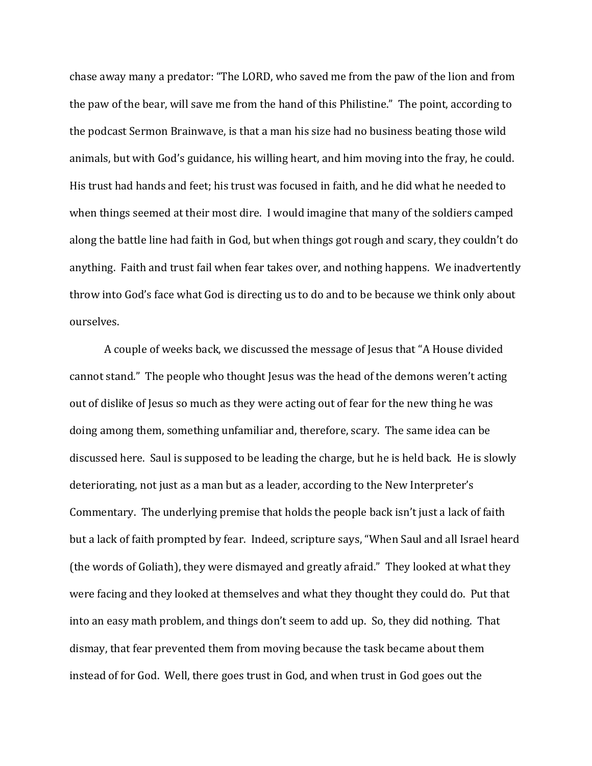chase away many a predator: "The LORD, who saved me from the paw of the lion and from the paw of the bear, will save me from the hand of this Philistine." The point, according to the podcast Sermon Brainwave, is that a man his size had no business beating those wild animals, but with God's guidance, his willing heart, and him moving into the fray, he could. His trust had hands and feet; his trust was focused in faith, and he did what he needed to when things seemed at their most dire. I would imagine that many of the soldiers camped along the battle line had faith in God, but when things got rough and scary, they couldn't do anything. Faith and trust fail when fear takes over, and nothing happens. We inadvertently throw into God's face what God is directing us to do and to be because we think only about ourselves.

A couple of weeks back, we discussed the message of Jesus that "A House divided cannot stand." The people who thought Jesus was the head of the demons weren't acting out of dislike of Jesus so much as they were acting out of fear for the new thing he was doing among them, something unfamiliar and, therefore, scary. The same idea can be discussed here. Saul is supposed to be leading the charge, but he is held back. He is slowly deteriorating, not just as a man but as a leader, according to the New Interpreter's Commentary. The underlying premise that holds the people back isn't just a lack of faith but a lack of faith prompted by fear. Indeed, scripture says, "When Saul and all Israel heard (the words of Goliath), they were dismayed and greatly afraid." They looked at what they were facing and they looked at themselves and what they thought they could do. Put that into an easy math problem, and things don't seem to add up. So, they did nothing. That dismay, that fear prevented them from moving because the task became about them instead of for God. Well, there goes trust in God, and when trust in God goes out the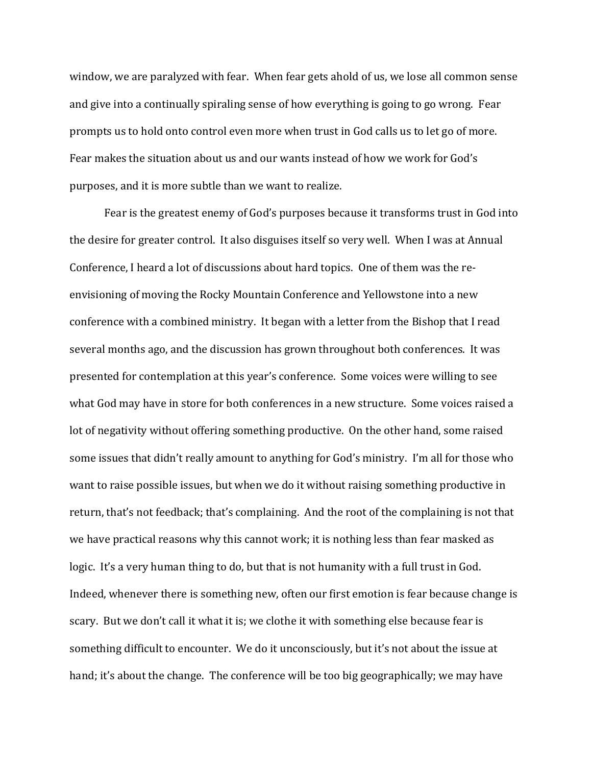window, we are paralyzed with fear. When fear gets ahold of us, we lose all common sense and give into a continually spiraling sense of how everything is going to go wrong. Fear prompts us to hold onto control even more when trust in God calls us to let go of more. Fear makes the situation about us and our wants instead of how we work for God's purposes, and it is more subtle than we want to realize.

Fear is the greatest enemy of God's purposes because it transforms trust in God into the desire for greater control. It also disguises itself so very well. When I was at Annual Conference, I heard a lot of discussions about hard topics. One of them was the reenvisioning of moving the Rocky Mountain Conference and Yellowstone into a new conference with a combined ministry. It began with a letter from the Bishop that I read several months ago, and the discussion has grown throughout both conferences. It was presented for contemplation at this year's conference. Some voices were willing to see what God may have in store for both conferences in a new structure. Some voices raised a lot of negativity without offering something productive. On the other hand, some raised some issues that didn't really amount to anything for God's ministry. I'm all for those who want to raise possible issues, but when we do it without raising something productive in return, that's not feedback; that's complaining. And the root of the complaining is not that we have practical reasons why this cannot work; it is nothing less than fear masked as logic. It's a very human thing to do, but that is not humanity with a full trust in God. Indeed, whenever there is something new, often our first emotion is fear because change is scary. But we don't call it what it is; we clothe it with something else because fear is something difficult to encounter. We do it unconsciously, but it's not about the issue at hand; it's about the change. The conference will be too big geographically; we may have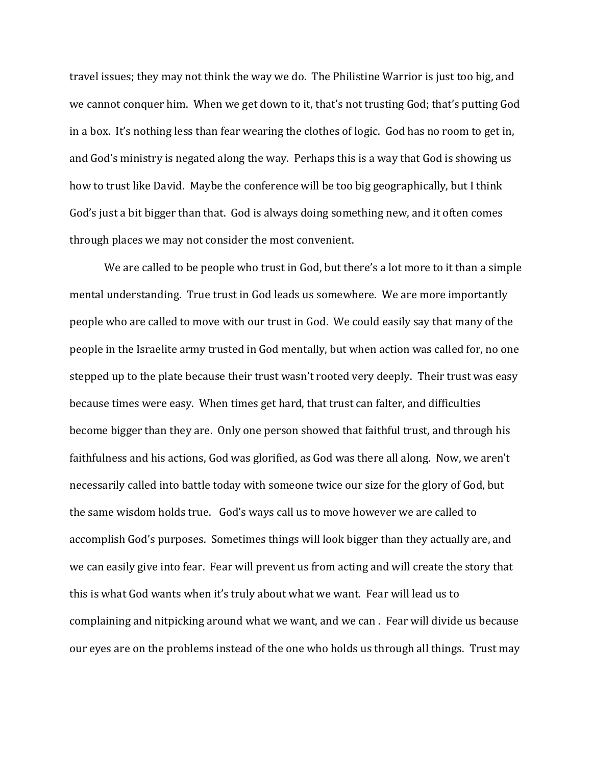travel issues; they may not think the way we do. The Philistine Warrior is just too big, and we cannot conquer him. When we get down to it, that's not trusting God; that's putting God in a box. It's nothing less than fear wearing the clothes of logic. God has no room to get in, and God's ministry is negated along the way. Perhaps this is a way that God is showing us how to trust like David. Maybe the conference will be too big geographically, but I think God's just a bit bigger than that. God is always doing something new, and it often comes through places we may not consider the most convenient.

We are called to be people who trust in God, but there's a lot more to it than a simple mental understanding. True trust in God leads us somewhere. We are more importantly people who are called to move with our trust in God. We could easily say that many of the people in the Israelite army trusted in God mentally, but when action was called for, no one stepped up to the plate because their trust wasn't rooted very deeply. Their trust was easy because times were easy. When times get hard, that trust can falter, and difficulties become bigger than they are. Only one person showed that faithful trust, and through his faithfulness and his actions, God was glorified, as God was there all along. Now, we aren't necessarily called into battle today with someone twice our size for the glory of God, but the same wisdom holds true. God's ways call us to move however we are called to accomplish God's purposes. Sometimes things will look bigger than they actually are, and we can easily give into fear. Fear will prevent us from acting and will create the story that this is what God wants when it's truly about what we want. Fear will lead us to complaining and nitpicking around what we want, and we can . Fear will divide us because our eyes are on the problems instead of the one who holds us through all things. Trust may